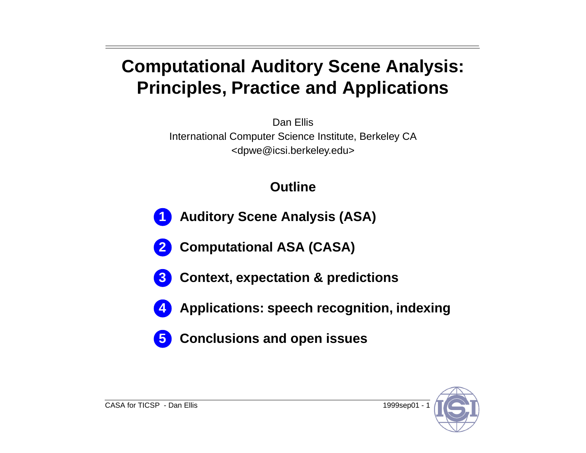## **Computational Auditory Scene Analysis: Principles, Practice and Applications**

Dan Ellis

International Computer Science Institute, Berkeley CA <dpwe@icsi.berkeley.edu>

### **Outline**

- **Auditory Scene Analysis (ASA) 1**
- **Computational ASA (CASA) 2**
- **Context, expectation & predictions 3**
- **4**
- **Applications: speech recognition, indexing**
- **Conclusions and open issues 5**

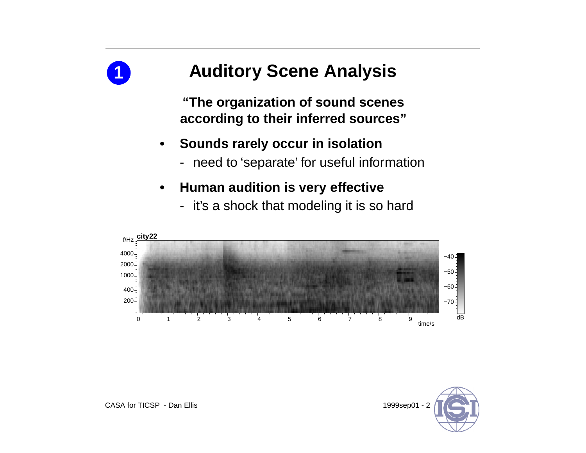

# **Auditory Scene Analysis**

**"The organization of sound scenes according to their inferred sources"**

- **• Sounds rarely occur in isolation**
	- need to 'separate' for useful information
- **• Human audition is very effective**
	- it's a shock that modeling it is so hard



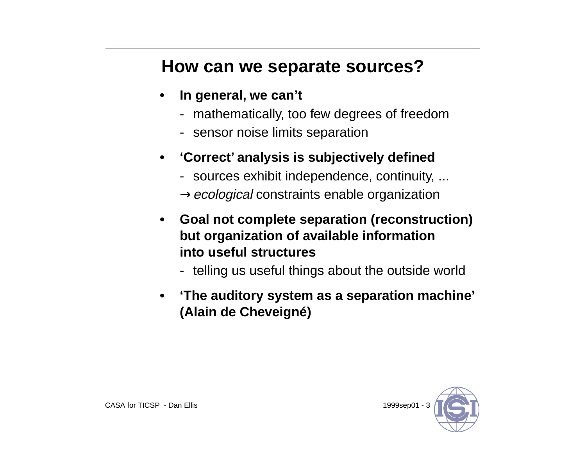### **How can we separate sources?**

- **• In general, we can't**
	- mathematically, too few degrees of freedom
	- sensor noise limits separation
- **• 'Correct' analysis is subjectively defined**
	- sources exhibit independence, continuity, ...  $\rightarrow$ ecological constraints enable organization
- **• Goal not complete separation (reconstruction) but organization of available information into useful structures**
	- telling us useful things about the outside world
- **• 'The auditory system as a separation machine' (Alain de Cheveigné)**

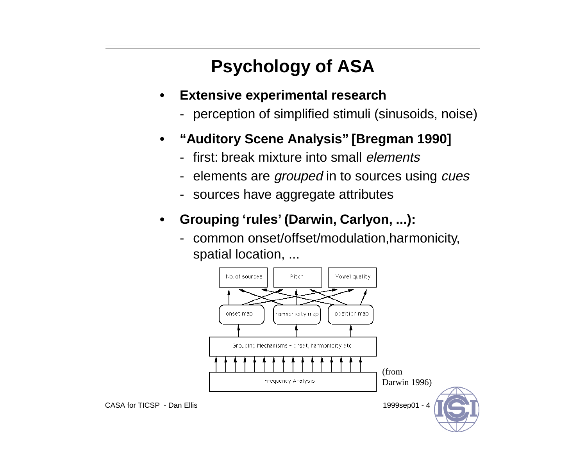# **Psychology of ASA**

- **• Extensive experimental research**
	- perception of simplified stimuli (sinusoids, noise)
- **• "Auditory Scene Analysis" [Bregman 1990]**
	- first: break mixture into small *elements*
	- elements are *grouped* in to sources using *cues*
	- sources have aggregate attributes
- **• Grouping 'rules' (Darwin, Carlyon, ...):**
	- common onset/offset/modulation,harmonicity, spatial location, ...

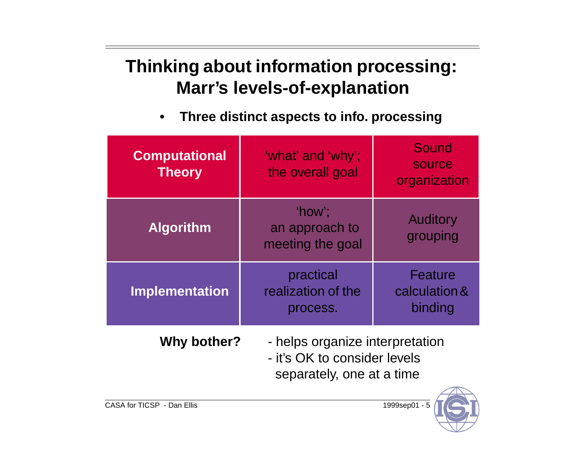## **Thinking about information processing: Marr's levels-of-explanation**

**• Three distinct aspects to info. processing**

| <b>Computational</b><br><b>Theory</b> | 'what' and 'why';<br>the overall goal                                                        | Sound<br>source<br>organization     |
|---------------------------------------|----------------------------------------------------------------------------------------------|-------------------------------------|
| <b>Algorithm</b>                      | 'how':<br>an approach to<br>meeting the goal                                                 | <b>Auditory</b><br>grouping         |
| <b>Implementation</b>                 | practical<br>realization of the<br>process.                                                  | Feature<br>calculation &<br>binding |
| Why bother?                           | - helps organize interpretation<br>- it's OK to consider levels<br>separately, one at a time |                                     |

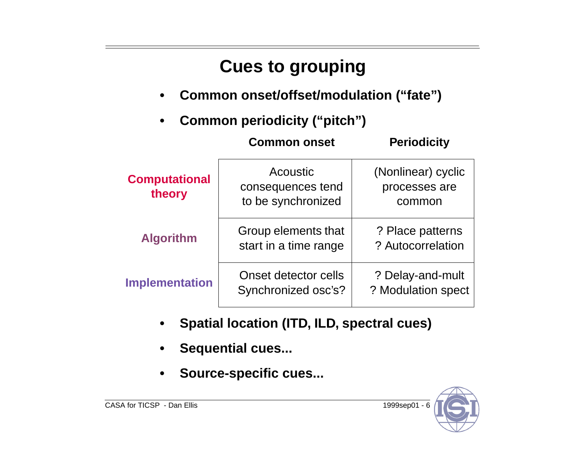# **Cues to grouping**

**• Common onset/offset/modulation ("fate")**

**Common onset Periodicity**

**• Common periodicity ("pitch")**

| <b>Computational</b><br>theory | Acoustic<br>consequences tend<br>to be synchronized | (Nonlinear) cyclic<br>processes are<br>common |
|--------------------------------|-----------------------------------------------------|-----------------------------------------------|
| <b>Algorithm</b>               | Group elements that<br>start in a time range        | ? Place patterns<br>? Autocorrelation         |
| <b>Implementation</b>          | Onset detector cells<br>Synchronized osc's?         | ? Delay-and-mult<br>? Modulation spect        |

- **• Spatial location (ITD, ILD, spectral cues)**
- **• Sequential cues...**
- **• Source-specific cues...**

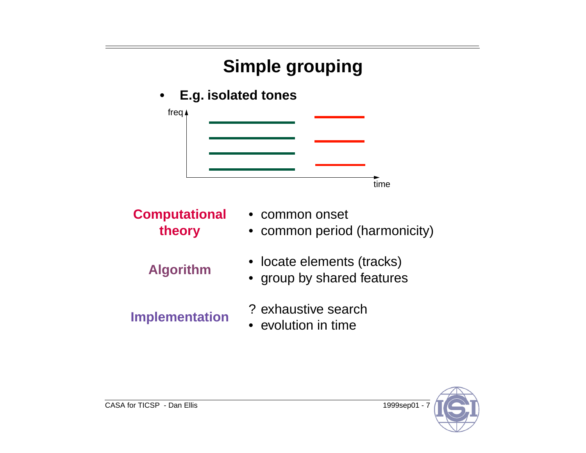# **Simple grouping**

### **• E.g. isolated tones**



**Computational theory**

- 
- 
- common onset
- common period (harmonicity)
- **Algorithm** locate elements (tracks) •
	- group by shared features
- **Implementation** ? exhaustive search
	- evolution in time

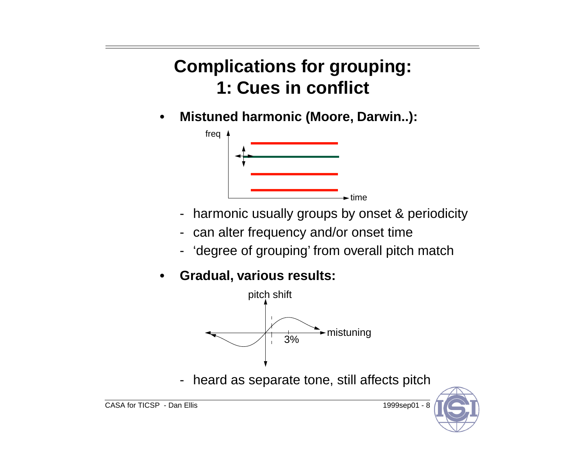## **Complications for grouping: 1: Cues in conflict**

**• Mistuned harmonic (Moore, Darwin..):**



- harmonic usually groups by onset & periodicity
- can alter frequency and/or onset time
- 'degree of grouping' from overall pitch match
- **• Gradual, various results:**



heard as separate tone, still affects pitch

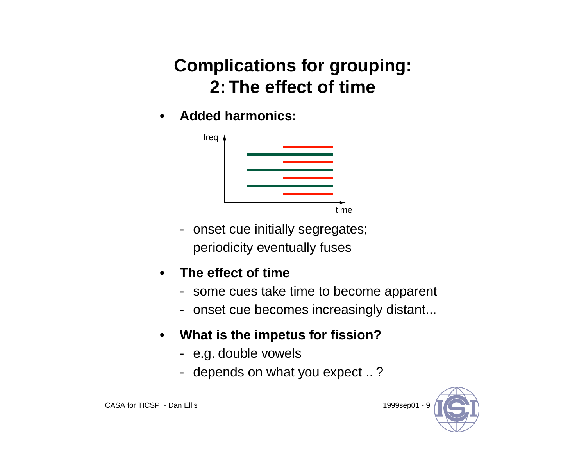## **Complications for grouping: 2: The effect of time**

**• Added harmonics:**



- onset cue initially segregates; periodicity eventually fuses

#### **• The effect of time**

- some cues take time to become apparent
- onset cue becomes increasingly distant...
- **• What is the impetus for fission?**
	- e.g. double vowels
	- depends on what you expect .. ?

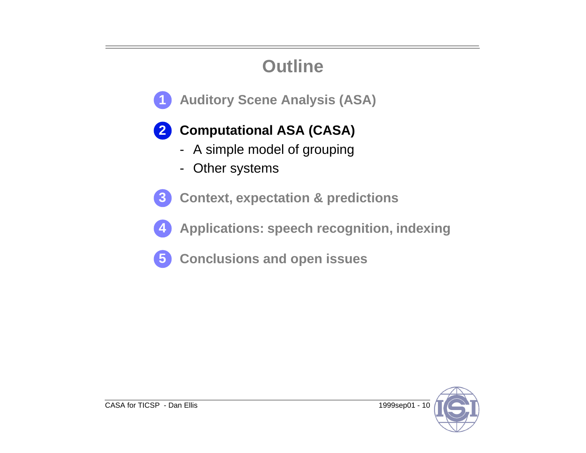## **Outline**

**Auditory Scene Analysis (ASA) 1**

### **Computational ASA (CASA) 2**

- A simple model of grouping
- Other systems
- **Context, expectation & predictions 3**
- **Applications: speech recognition, indexing 4**
- **Conclusions and open issues 5**

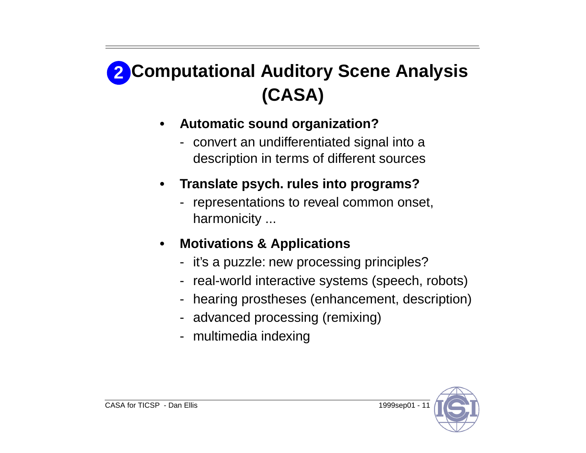# **Computational Auditory Scene Analysis 2(CASA)**

- **• Automatic sound organization?**
	- convert an undifferentiated signal into a description in terms of different sources
- **• Translate psych. rules into programs?**
	- representations to reveal common onset, harmonicity ...
- **• Motivations & Applications**
	- it's a puzzle: new processing principles?
	- real-world interactive systems (speech, robots)
	- hearing prostheses (enhancement, description)
	- advanced processing (remixing)
	- multimedia indexing

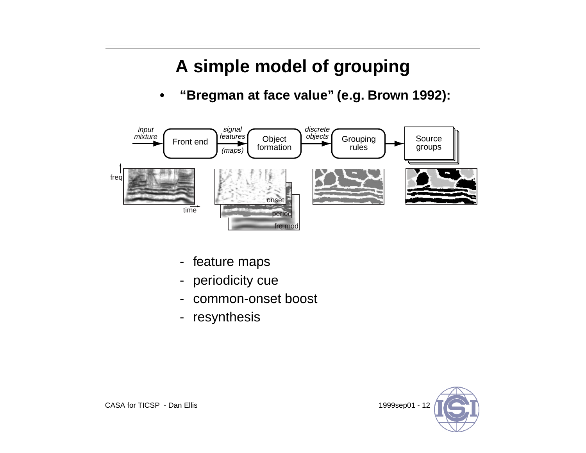## **A simple model of grouping**

**• "Bregman at face value" (e.g. Brown 1992):**



- feature maps
- periodicity cue
- common-onset boost
- resynthesis

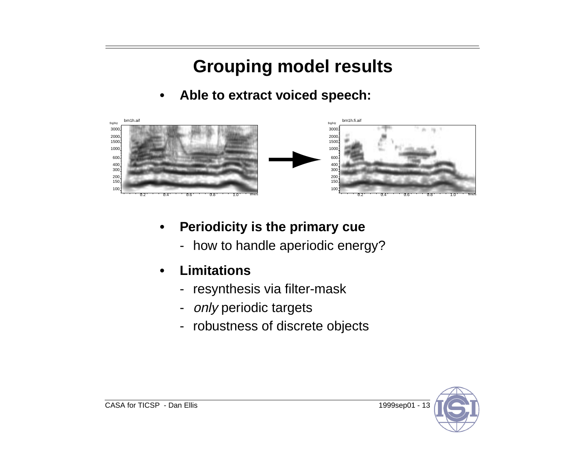## **Grouping model results**

**• Able to extract voiced speech:**



- **• Periodicity is the primary cue**
	- how to handle aperiodic energy?
- **• Limitations**
	- resynthesis via filter-mask
	- only periodic targets
	- robustness of discrete objects

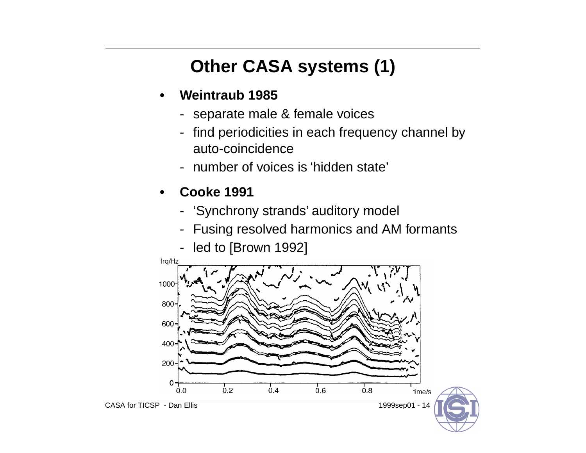# **Other CASA systems (1)**

- **• Weintraub 1985**
	- separate male & female voices
	- find periodicities in each frequency channel by auto-coincidence
	- number of voices is 'hidden state'
- **• Cooke 1991**
	- 'Synchrony strands' auditory model
	- Fusing resolved harmonics and AM formants
	- led to [Brown 1992]

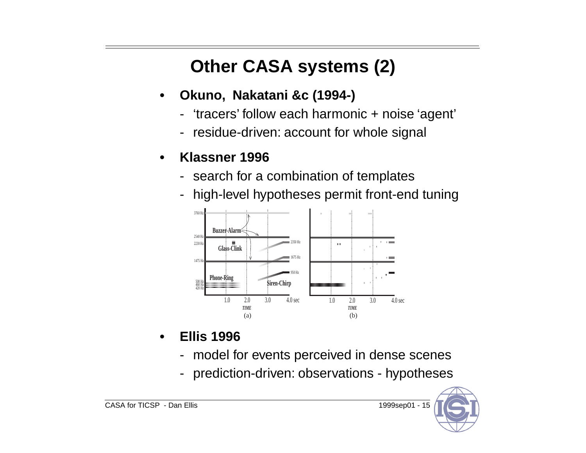## **Other CASA systems (2)**

- **• Okuno, Nakatani &c (1994-)**
	- -'tracers' follow each harmonic + noise 'agent'
	- residue-driven: account for whole signal

#### **• Klassner 1996**

- search for a combination of templates
- high-level hypotheses permit front-end tuning



- **• Ellis 1996**
	- model for events perceived in dense scenes
	- prediction-driven: observations - hypotheses

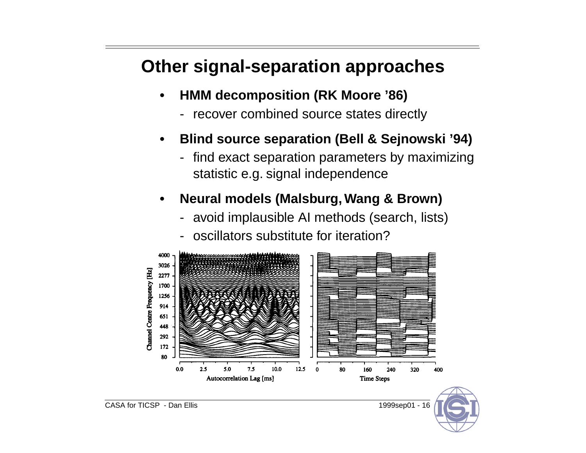## **Other signal-separation approaches**

- **• HMM decomposition (RK Moore '86)**
	- recover combined source states directly
- **• Blind source separation (Bell & Sejnowski '94)**
	- find exact separation parameters by maximizing statistic e.g. signal independence
- **• Neural models (Malsburg, Wang & Brown)**
	- avoid implausible AI methods (search, lists)
	- oscillators substitute for iteration?



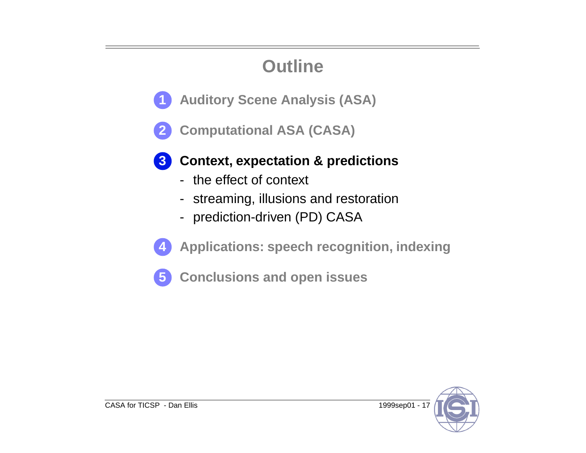## **Outline**

- **Auditory Scene Analysis (ASA) 1**
- **Computational ASA (CASA) 2**



### **Context, expectation & predictions 3**

- the effect of context
- streaming, illusions and restoration
- prediction-driven (PD) CASA



**Applications: speech recognition, indexing**

**Conclusions and open issues 5**

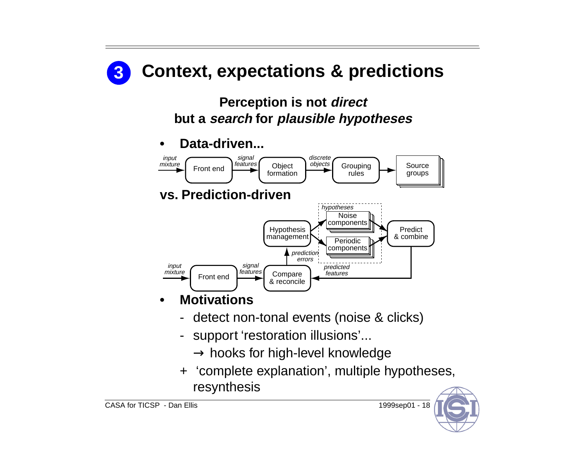

- support 'restoration illusions'...
	- $\rightarrow$  hooks for high-level knowledge
- + 'complete explanation', multiple hypotheses, resynthesis

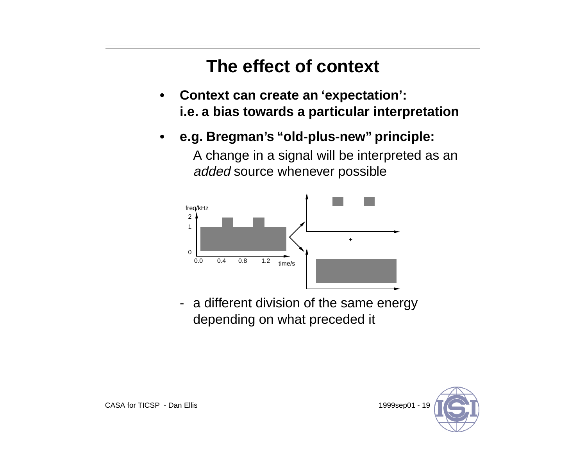## **The effect of context**

- **• Context can create an 'expectation': i.e. a bias towards a particular interpretation**
- **• e.g. Bregman's "old-plus-new" principle:**

A change in a signal will be interpreted as an added source whenever possible



- a different division of the same energy depending on what preceded it

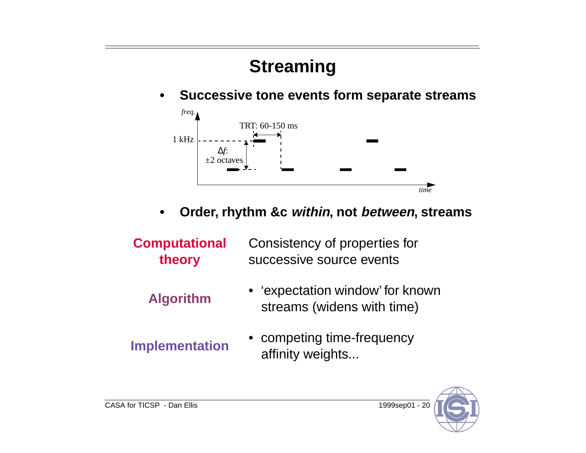## **Streaming**

**• Successive tone events form separate streams**



- **• Order, rhythm &c within, not between, streams**
- **Computational theory** Consistency of properties for successive source events
	-
	- **Algorithm** 'expectation window' for known streams (widens with time)
- 
- **Implementation** competing time-frequency<br>affinity weights...

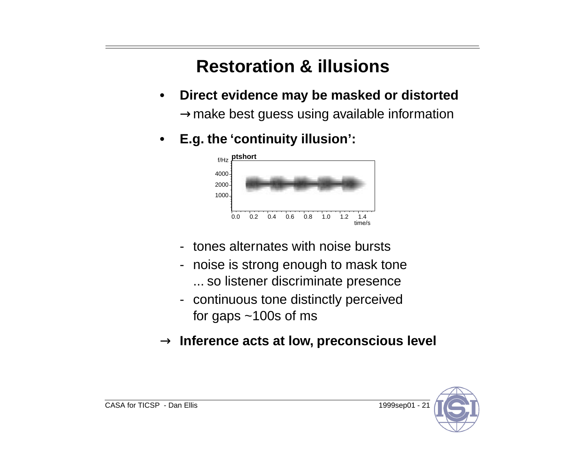## **Restoration & illusions**

- **• Direct evidence may be masked or distorted**  $\rightarrow$ make best guess using available information
- **• E.g. the 'continuity illusion':**



- tones alternates with noise bursts
- noise is strong enough to mask tone ... so listener discriminate presence
- continuous tone distinctly perceived for gaps  $\sim$ 100s of ms
- $\rightarrow$  Inference acts at low, preconscious level

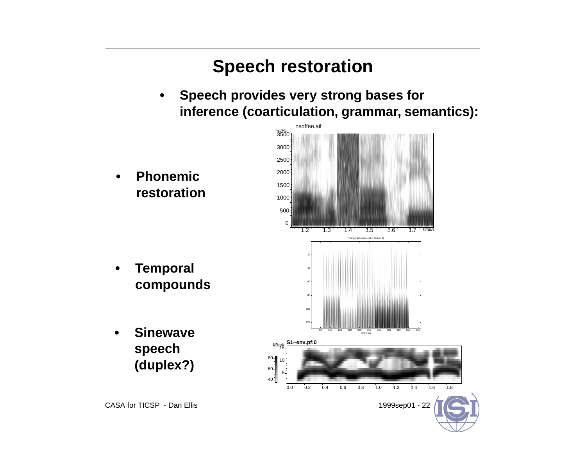## **Speech restoration**

- **• Speech provides very strong bases for inference (coarticulation, grammar, semantics):**
- CASA for TICSP Dan Ellis 1999sep01 22 1.2 1.3 1.4 1.5 1.6 1.7 time/s 0 500 1000 1500 2000 2500 3000 <sup>3500</sup> frq/Hz nsoffee.aif 5 10 <sup>15</sup> f/Bark **S1−env.pf:0** 0.0 0.2 0.4 0.6 0.8 1.0 1.2 1.4 1.6 1.8  $40<sup>1</sup>$  $60 -$ 80 Temporal compound (1998jul10) time / ms 50 100 150 200 250 300 350 400 450 500 550 60 80 100  **Sinewave speech (duplex?)**
	- **• Phonemic restoration**

**• Temporal compounds**

**•**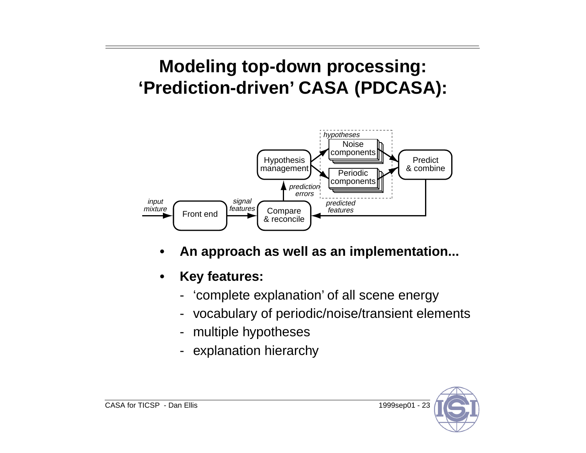## **Modeling top-down processing: 'Prediction-driven' CASA (PDCASA):**



- **• An approach as well as an implementation...**
- **• Key features:**
	- -'complete explanation' of all scene energy
	- vocabulary of periodic/noise/transient elements
	- multiple hypotheses
	- explanation hierarchy

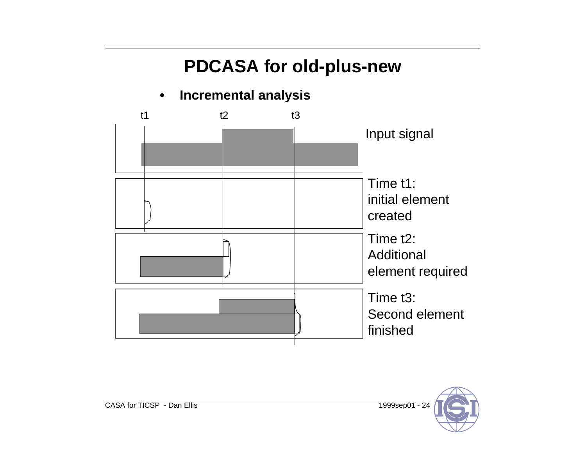## **PDCASA for old-plus-new**

#### **• Incremental analysis**



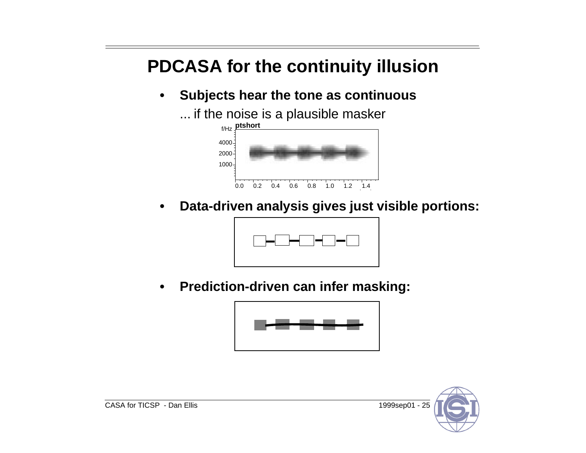## **PDCASA for the continuity illusion**

**• Subjects hear the tone as continuous**

... if the noise is a plausible masker



**• Data-driven analysis gives just visible portions:**



**• Prediction-driven can infer masking:**



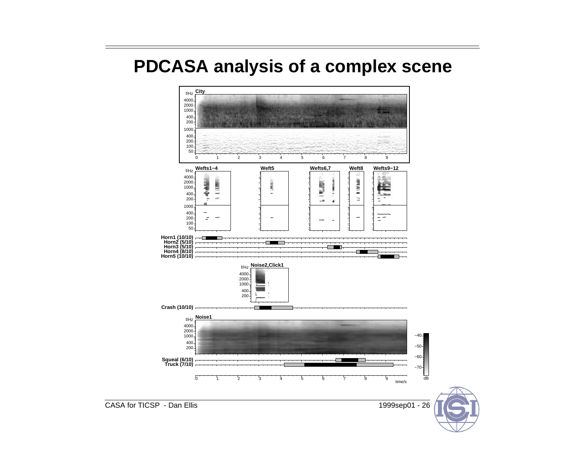### **PDCASA analysis of a complex scene**



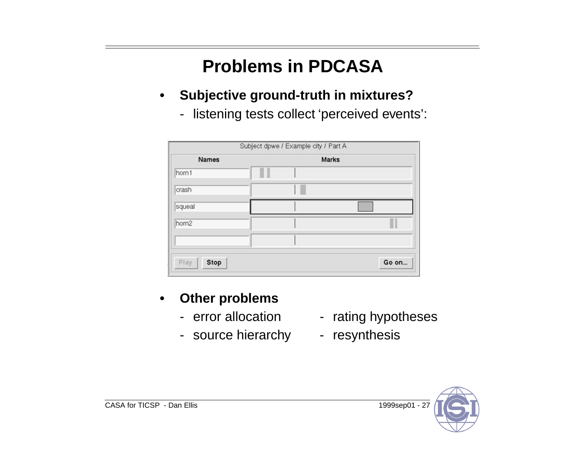## **Problems in PDCASA**

- **• Subjective ground-truth in mixtures?**
	- listening tests collect 'perceived events':

| <b>Names</b> | <b>Marks</b> |  |
|--------------|--------------|--|
| hom1         |              |  |
| crash        |              |  |
| squeal       |              |  |
| hom2         |              |  |
|              |              |  |

#### **• Other problems**

- error allocation
- source hierarchy resynthesis
- rating hypotheses
- 

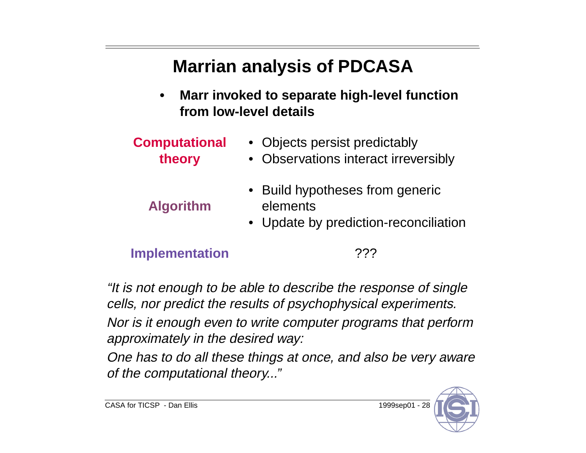## **Marrian analysis of PDCASA**

- **• Marr invoked to separate high-level function from low-level details**
- **Computational theory** • Objects persist predictably • Observations interact irreversibly **Algorithm** • Build hypotheses from generic elements •Update by prediction-reconciliation

### **Implementation** ???

"It is not enough to be able to describe the response of single cells, nor predict the results of psychophysical experiments. Nor is it enough even to write computer programs that perform approximately in the desired way:

One has to do all these things at once, and also be very aware of the computational theory..."

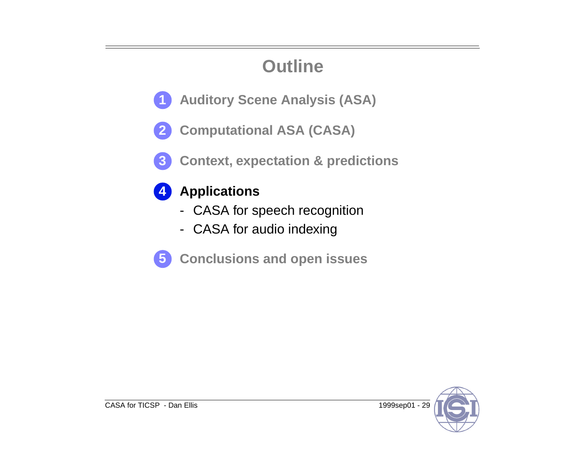## **Outline**

- **Auditory Scene Analysis (ASA) 1**
- **Computational ASA (CASA) 2**
- **Context, expectation & predictions 3**



### **Applications**

- CASA for speech recognition
- CASA for audio indexing



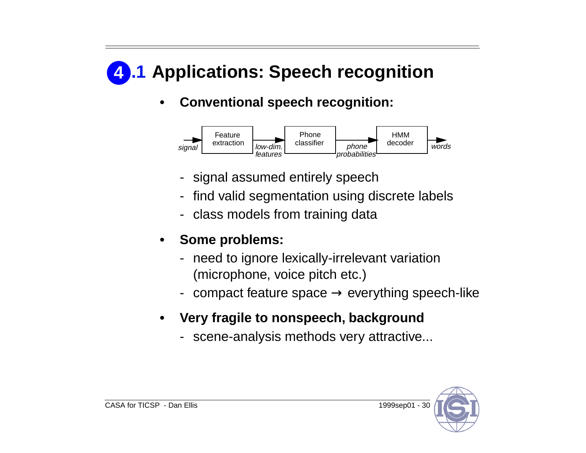# **.1 Applications: Speech recognition 4**

### **• Conventional speech recognition:**



- signal assumed entirely speech
- find valid segmentation using discrete labels
- class models from training data
- **• Some problems:**
	- need to ignore lexically-irrelevant variation (microphone, voice pitch etc.)
	- $\,$  compact feature space  $\rightarrow$  everything speech-like
- **• Very fragile to nonspeech, background**
	- scene-analysis methods very attractive...

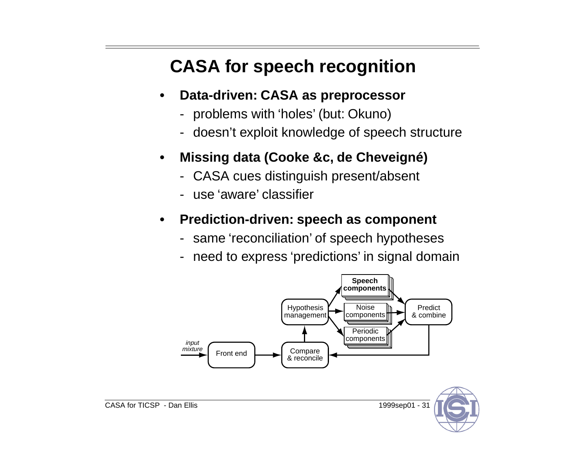## **CASA for speech recognition**

- **• Data-driven: CASA as preprocessor**
	- problems with 'holes' (but: Okuno)
	- doesn't exploit knowledge of speech structure
- **• Missing data (Cooke &c, de Cheveigné)**
	- CASA cues distinguish present/absent
	- use 'aware' classifier

#### **• Prediction-driven: speech as component**

- same 'reconciliation' of speech hypotheses
- need to express 'predictions' in signal domain

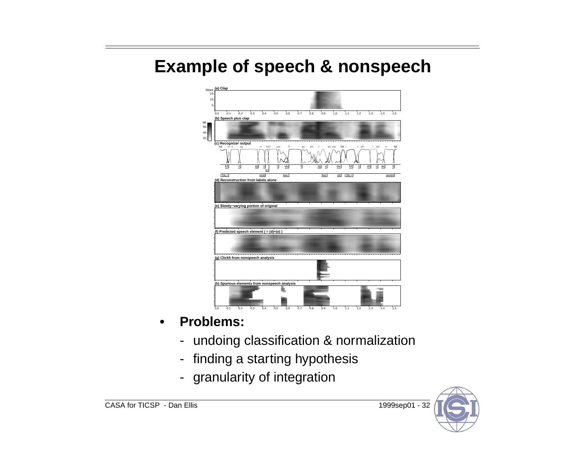### **Example of speech & nonspeech**



- **• Problems:**
	- undoing classification & normalization
	- finding a starting hypothesis
	- granularity of integration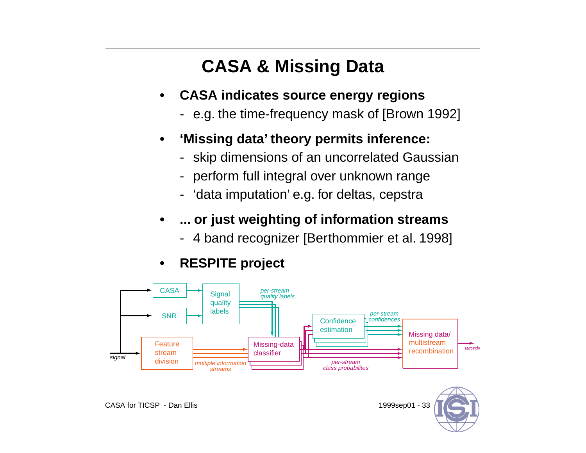## **CASA & Missing Data**

- **• CASA indicates source energy regions**
	- e.g. the time-frequency mask of [Brown 1992]
- **• 'Missing data' theory permits inference:**
	- skip dimensions of an uncorrelated Gaussian
	- perform full integral over unknown range
	- 'data imputation' e.g. for deltas, cepstra
- **• ... or just weighting of information streams**
	- 4 band recognizer [Berthommier et al. 1998]
- **• RESPITE project**

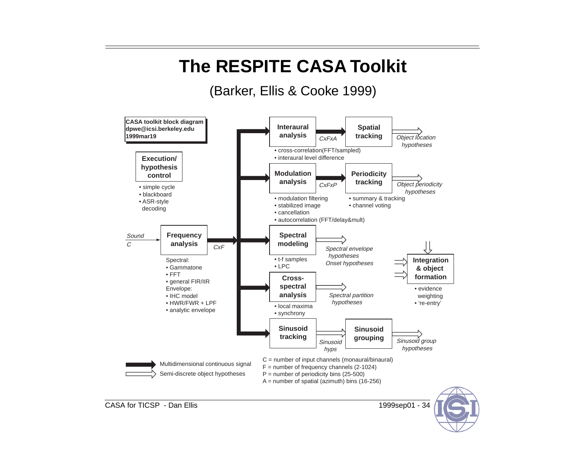## **The RESPITE CASA Toolkit**

### (Barker, Ellis & Cooke 1999)



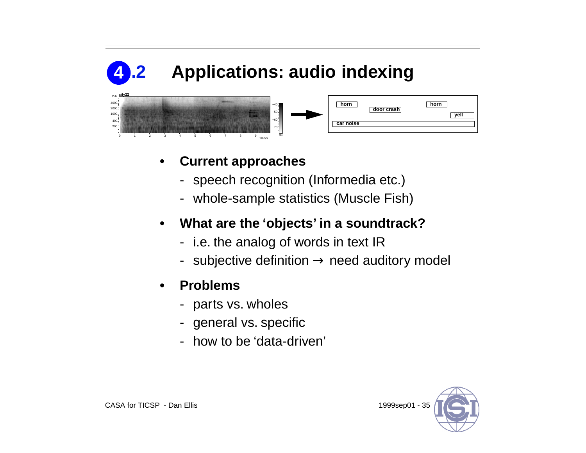

#### **• Current approaches**

- speech recognition (Informedia etc.)
- whole-sample statistics (Muscle Fish)

#### **• What are the 'objects' in a soundtrack?**

- i.e. the analog of words in text IR
- $\,$  subjective definition  $\rightarrow$  need auditory model

#### **• Problems**

- parts vs. wholes
- general vs. specific
- how to be 'data-driven'

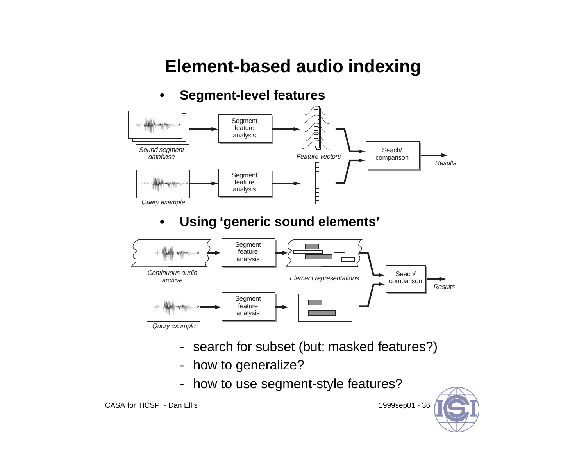## **Element-based audio indexing**

#### **• Segment-level features**



### **• Using 'generic sound elements'**



- search for subset (but: masked features?)
- how to generalize?
- how to use segment-style features?

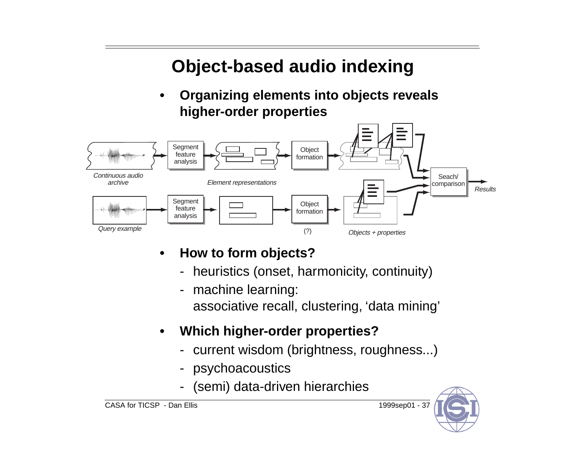## **Object-based audio indexing**

**• Organizing elements into objects reveals higher-order properties**



- **• How to form objects?**
	- heuristics (onset, harmonicity, continuity)
	- machine learning: associative recall, clustering, 'data mining'
- **• Which higher-order properties?**
	- current wisdom (brightness, roughness...)
	- psychoacoustics
	- (semi) data-driven hierarchies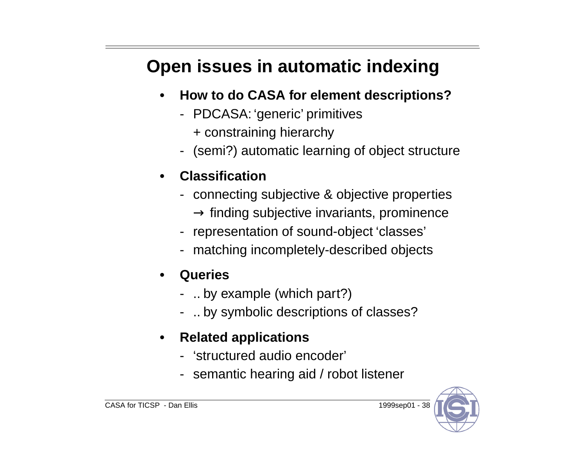# **Open issues in automatic indexing**

- **• How to do CASA for element descriptions?**
	- PDCASA: 'generic' primitives
		- + constraining hierarchy
	- (semi?) automatic learning of object structure
- **• Classification**
	- connecting subjective & objective properties  $\rightarrow$  finding subjective invariants, prominence
	- representation of sound-object 'classes'
	- matching incompletely-described objects
- **• Queries**
	- .. by example (which part?)
	- .. by symbolic descriptions of classes?
- **• Related applications**
	- 'structured audio encoder'
	- semantic hearing aid / robot listener

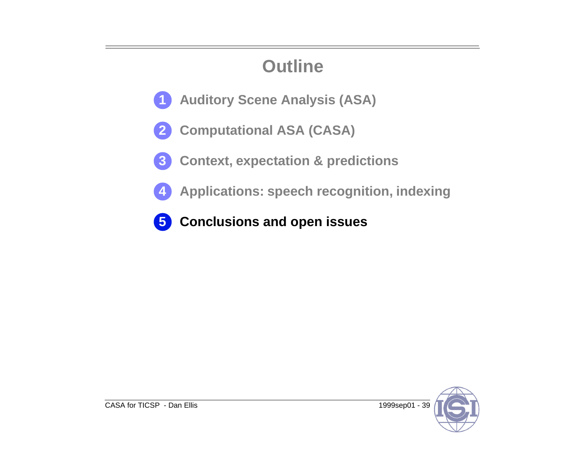## **Outline**

- **Auditory Scene Analysis (ASA) 1**
- **Computational ASA (CASA) 2**
- **Context, expectation & predictions 3**
	- **Applications: speech recognition, indexing**
- **Conclusions and open issues 5**



**4**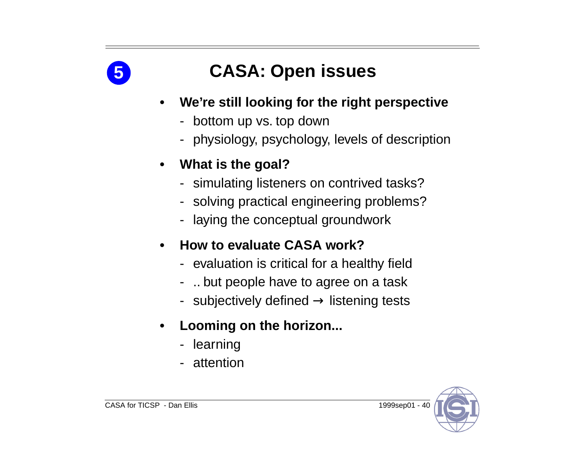

## **CASA: Open issues**

- **• We're still looking for the right perspective**
	- bottom up vs. top down
	- physiology, psychology, levels of description
- **• What is the goal?**
	- simulating listeners on contrived tasks?
	- solving practical engineering problems?
	- laying the conceptual groundwork
- **• How to evaluate CASA work?**
	- evaluation is critical for a healthy field
	- .. but people have to agree on a task
	- $\,$  subjectively defined  $\rightarrow$  listening tests
- **• Looming on the horizon...**
	- learning
	- attention